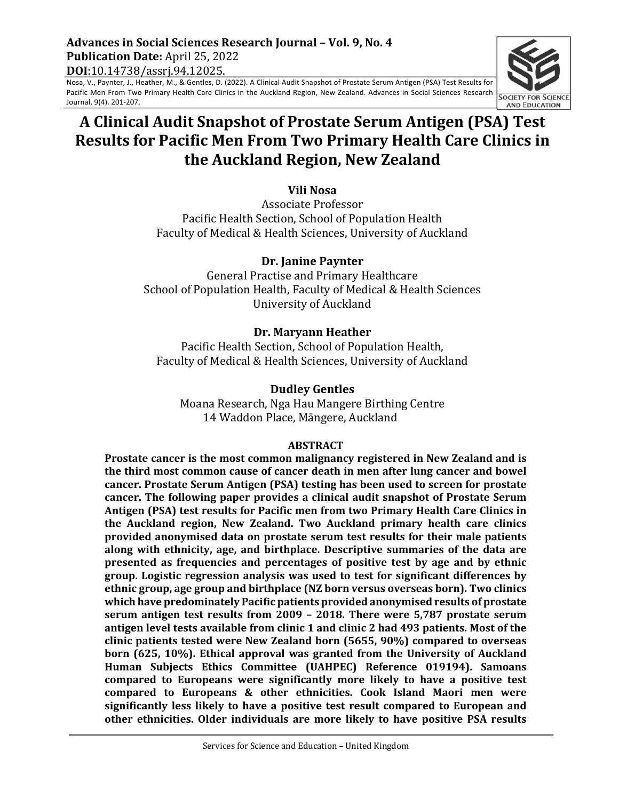# **Advances in Social Sciences Research Journal – Vol. 9, No. 4 Publication Date: April 25, 2022 DOI**:10.14738/assrj.94.12025.

Nosa, V., Paynter, J., Heather, M., & Gentles, D. (2022). A Clinical Audit Snapshot of Prostate Serum Antigen (PSA) Test Results for Pacific Men From Two Primary Health Care Clinics in the Auckland Region, New Zealand. Advances in Social Sciences Research Journal, 9(4). 201-207.

# **A Clinical Audit Snapshot of Prostate Serum Antigen (PSA) Test Results for Pacific Men From Two Primary Health Care Clinics in the Auckland Region, New Zealand**

# **Vili Nosa**

Associate Professor Pacific Health Section, School of Population Health Faculty of Medical & Health Sciences, University of Auckland

# **Dr. Janine Paynter**

General Practise and Primary Healthcare School of Population Health, Faculty of Medical & Health Sciences University of Auckland

# **Dr. Maryann Heather**

Pacific Health Section, School of Population Health, Faculty of Medical & Health Sciences, University of Auckland

# **Dudley Gentles**

Moana Research, Nga Hau Mangere Birthing Centre 14 Waddon Place, Māngere, Auckland

#### **ABSTRACT**

**Prostate cancer is the most common malignancy registered in New Zealand and is the third most common cause of cancer death in men after lung cancer and bowel** cancer. Prostate Serum Antigen (PSA) testing has been used to screen for prostate cancer. The following paper provides a clinical audit snapshot of Prostate Serum Antigen (PSA) test results for Pacific men from two Primary Health Care Clinics in **the Auckland region, New Zealand. Two Auckland primary health care clinics** provided anonymised data on prostate serum test results for their male patients along with ethnicity, age, and birthplace. Descriptive summaries of the data are **presented** as frequencies and percentages of positive test by age and by ethnic group. Logistic regression analysis was used to test for significant differences by ethnic group, age group and birthplace (NZ born versus overseas born). Two clinics which have predominately Pacific patients provided anonymised results of prostate **serum antigen test results from 2009 - 2018. There were 5,787 prostate serum** antigen level tests available from clinic 1 and clinic 2 had 493 patients. Most of the clinic patients tested were New Zealand born (5655, 90%) compared to overseas **born (625, 10%). Ethical approval was granted from the University of Auckland Human Subjects Ethics Committee (UAHPEC) Reference 019194). Samoans**  compared to Europeans were significantly more likely to have a positive test compared to Europeans & other ethnicities. Cook Island Maori men were significantly less likely to have a positive test result compared to European and other ethnicities. Older individuals are more likely to have positive PSA results

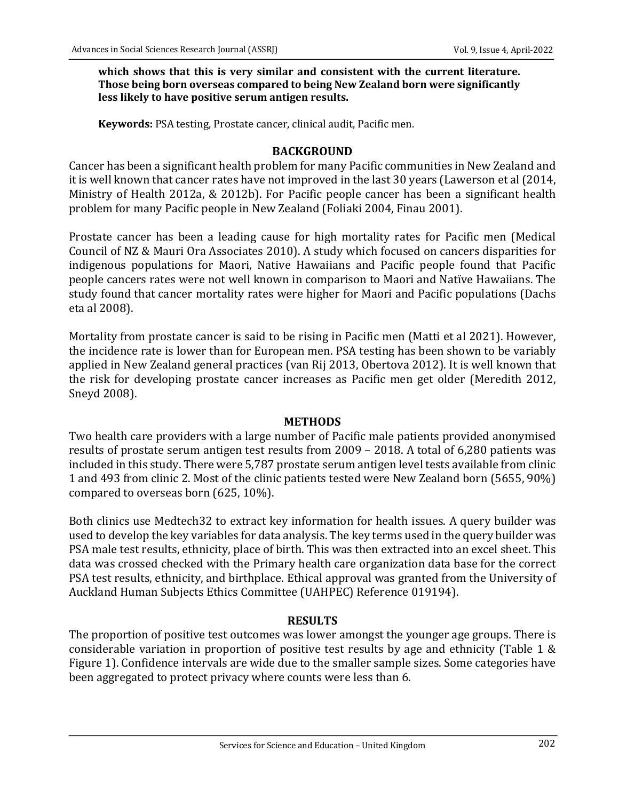#### which shows that this is very similar and consistent with the current literature. **Those being born overseas compared to being New Zealand born were significantly** less likely to have positive serum antigen results.

**Keywords:** PSA testing, Prostate cancer, clinical audit, Pacific men.

# **BACKGROUND**

Cancer has been a significant health problem for many Pacific communities in New Zealand and it is well known that cancer rates have not improved in the last 30 years (Lawerson et al (2014, Ministry of Health 2012a, & 2012b). For Pacific people cancer has been a significant health problem for many Pacific people in New Zealand (Foliaki 2004, Finau 2001).

Prostate cancer has been a leading cause for high mortality rates for Pacific men (Medical Council of NZ & Mauri Ora Associates 2010). A study which focused on cancers disparities for indigenous populations for Maori, Native Hawaiians and Pacific people found that Pacific people cancers rates were not well known in comparison to Maori and Natïve Hawaiians. The study found that cancer mortality rates were higher for Maori and Pacific populations (Dachs eta al 2008). 

Mortality from prostate cancer is said to be rising in Pacific men (Matti et al 2021). However, the incidence rate is lower than for European men. PSA testing has been shown to be variably applied in New Zealand general practices (van Rij 2013, Obertova 2012). It is well known that the risk for developing prostate cancer increases as Pacific men get older (Meredith 2012, Sneyd 2008).

#### **METHODS**

Two health care providers with a large number of Pacific male patients provided anonymised results of prostate serum antigen test results from 2009 - 2018. A total of 6,280 patients was included in this study. There were 5,787 prostate serum antigen level tests available from clinic 1 and 493 from clinic 2. Most of the clinic patients tested were New Zealand born (5655, 90%) compared to overseas born  $(625, 10\%)$ .

Both clinics use Medtech32 to extract key information for health issues. A query builder was used to develop the key variables for data analysis. The key terms used in the query builder was PSA male test results, ethnicity, place of birth. This was then extracted into an excel sheet. This data was crossed checked with the Primary health care organization data base for the correct PSA test results, ethnicity, and birthplace. Ethical approval was granted from the University of Auckland Human Subjects Ethics Committee (UAHPEC) Reference 019194).

#### **RESULTS**

The proportion of positive test outcomes was lower amongst the younger age groups. There is considerable variation in proportion of positive test results by age and ethnicity (Table 1  $\&$ Figure 1). Confidence intervals are wide due to the smaller sample sizes. Some categories have been aggregated to protect privacy where counts were less than 6.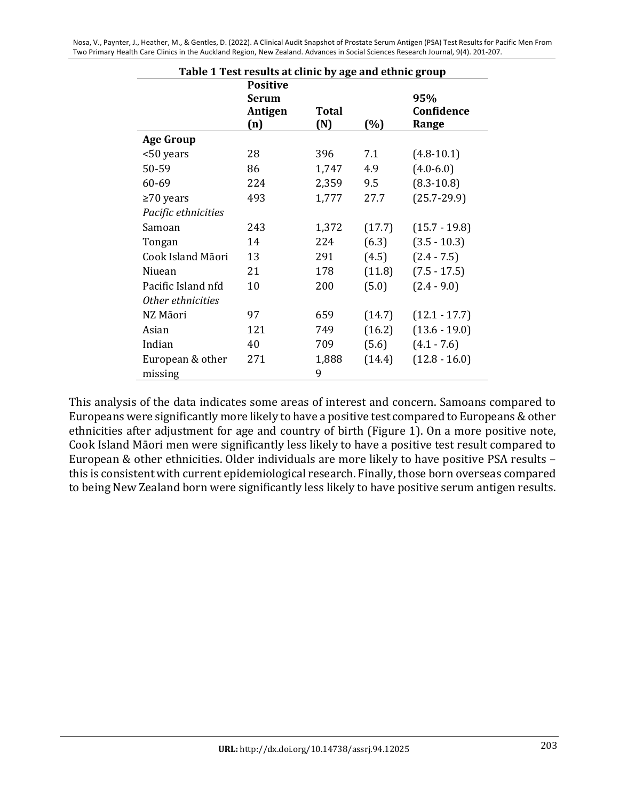Nosa, V., Paynter, J., Heather, M., & Gentles, D. (2022). A Clinical Audit Snapshot of Prostate Serum Antigen (PSA) Test Results for Pacific Men From Two Primary Health Care Clinics in the Auckland Region, New Zealand. Advances in Social Sciences Research Journal, 9(4). 201-207.

| Table 1 Test results at clinic by age and ethnic group |                                                   |              |        |                            |
|--------------------------------------------------------|---------------------------------------------------|--------------|--------|----------------------------|
|                                                        | <b>Positive</b><br><b>Serum</b><br>Antigen<br>(n) | Total<br>(N) | (%)    | 95%<br>Confidence<br>Range |
| <b>Age Group</b>                                       |                                                   |              |        |                            |
| <50 years                                              | 28                                                | 396          | 7.1    | $(4.8-10.1)$               |
| 50-59                                                  | 86                                                | 1,747        | 4.9    | $(4.0 - 6.0)$              |
| 60-69                                                  | 224                                               | 2,359        | 9.5    | $(8.3 - 10.8)$             |
| $\geq$ 70 years                                        | 493                                               | 1,777        | 27.7   | $(25.7 - 29.9)$            |
| Pacific ethnicities                                    |                                                   |              |        |                            |
| Samoan                                                 | 243                                               | 1,372        | (17.7) | $(15.7 - 19.8)$            |
| Tongan                                                 | 14                                                | 224          | (6.3)  | $(3.5 - 10.3)$             |
| Cook Island Māori                                      | 13                                                | 291          | (4.5)  | $(2.4 - 7.5)$              |
| Niuean                                                 | 21                                                | 178          | (11.8) | $(7.5 - 17.5)$             |
| Pacific Island nfd                                     | 10                                                | 200          | (5.0)  | $(2.4 - 9.0)$              |
| Other ethnicities                                      |                                                   |              |        |                            |
| NZ Māori                                               | 97                                                | 659          | (14.7) | $(12.1 - 17.7)$            |
| Asian                                                  | 121                                               | 749          | (16.2) | $(13.6 - 19.0)$            |
| Indian                                                 | 40                                                | 709          | (5.6)  | $(4.1 - 7.6)$              |
| European & other<br>missing                            | 271                                               | 1,888<br>9   | (14.4) | $(12.8 - 16.0)$            |

This analysis of the data indicates some areas of interest and concern. Samoans compared to Europeans were significantly more likely to have a positive test compared to Europeans & other ethnicities after adjustment for age and country of birth (Figure 1). On a more positive note, Cook Island Māori men were significantly less likely to have a positive test result compared to European & other ethnicities. Older individuals are more likely to have positive PSA results this is consistent with current epidemiological research. Finally, those born overseas compared to being New Zealand born were significantly less likely to have positive serum antigen results.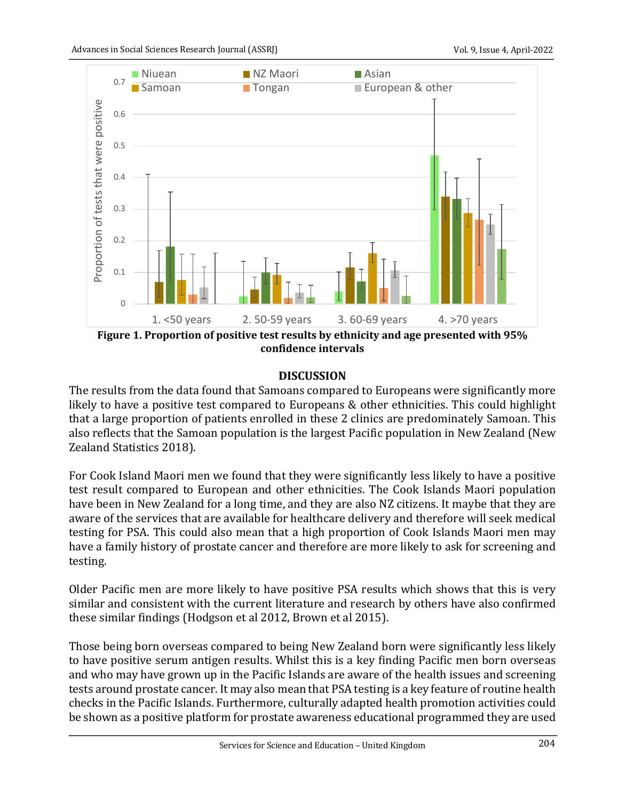

**confidence intervals**

#### **DISCUSSION**

The results from the data found that Samoans compared to Europeans were significantly more likely to have a positive test compared to Europeans & other ethnicities. This could highlight that a large proportion of patients enrolled in these 2 clinics are predominately Samoan. This also reflects that the Samoan population is the largest Pacific population in New Zealand (New Zealand Statistics 2018).

For Cook Island Maori men we found that they were significantly less likely to have a positive test result compared to European and other ethnicities. The Cook Islands Maori population have been in New Zealand for a long time, and they are also NZ citizens. It maybe that they are aware of the services that are available for healthcare delivery and therefore will seek medical testing for PSA. This could also mean that a high proportion of Cook Islands Maori men may have a family history of prostate cancer and therefore are more likely to ask for screening and testing. 

Older Pacific men are more likely to have positive PSA results which shows that this is very similar and consistent with the current literature and research by others have also confirmed these similar findings (Hodgson et al 2012, Brown et al 2015).

Those being born overseas compared to being New Zealand born were significantly less likely to have positive serum antigen results. Whilst this is a key finding Pacific men born overseas and who may have grown up in the Pacific Islands are aware of the health issues and screening tests around prostate cancer. It may also mean that PSA testing is a key feature of routine health checks in the Pacific Islands. Furthermore, culturally adapted health promotion activities could be shown as a positive platform for prostate awareness educational programmed they are used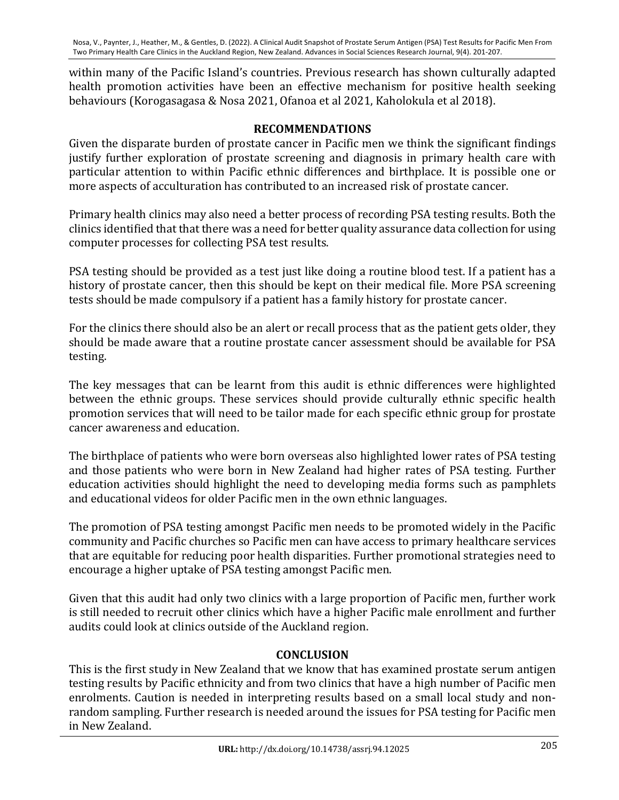within many of the Pacific Island's countries. Previous research has shown culturally adapted health promotion activities have been an effective mechanism for positive health seeking behaviours (Korogasagasa & Nosa 2021, Ofanoa et al 2021, Kaholokula et al 2018).

# **RECOMMENDATIONS**

Given the disparate burden of prostate cancer in Pacific men we think the significant findings justify further exploration of prostate screening and diagnosis in primary health care with particular attention to within Pacific ethnic differences and birthplace. It is possible one or more aspects of acculturation has contributed to an increased risk of prostate cancer.

Primary health clinics may also need a better process of recording PSA testing results. Both the clinics identified that that there was a need for better quality assurance data collection for using computer processes for collecting PSA test results.

PSA testing should be provided as a test just like doing a routine blood test. If a patient has a history of prostate cancer, then this should be kept on their medical file. More PSA screening tests should be made compulsory if a patient has a family history for prostate cancer.

For the clinics there should also be an alert or recall process that as the patient gets older, they should be made aware that a routine prostate cancer assessment should be available for PSA testing. 

The key messages that can be learnt from this audit is ethnic differences were highlighted between the ethnic groups. These services should provide culturally ethnic specific health promotion services that will need to be tailor made for each specific ethnic group for prostate cancer awareness and education.

The birthplace of patients who were born overseas also highlighted lower rates of PSA testing and those patients who were born in New Zealand had higher rates of PSA testing. Further education activities should highlight the need to developing media forms such as pamphlets and educational videos for older Pacific men in the own ethnic languages.

The promotion of PSA testing amongst Pacific men needs to be promoted widely in the Pacific community and Pacific churches so Pacific men can have access to primary healthcare services that are equitable for reducing poor health disparities. Further promotional strategies need to encourage a higher uptake of PSA testing amongst Pacific men.

Given that this audit had only two clinics with a large proportion of Pacific men, further work is still needed to recruit other clinics which have a higher Pacific male enrollment and further audits could look at clinics outside of the Auckland region.

# **CONCLUSION**

This is the first study in New Zealand that we know that has examined prostate serum antigen testing results by Pacific ethnicity and from two clinics that have a high number of Pacific men enrolments. Caution is needed in interpreting results based on a small local study and nonrandom sampling. Further research is needed around the issues for PSA testing for Pacific men in New Zealand.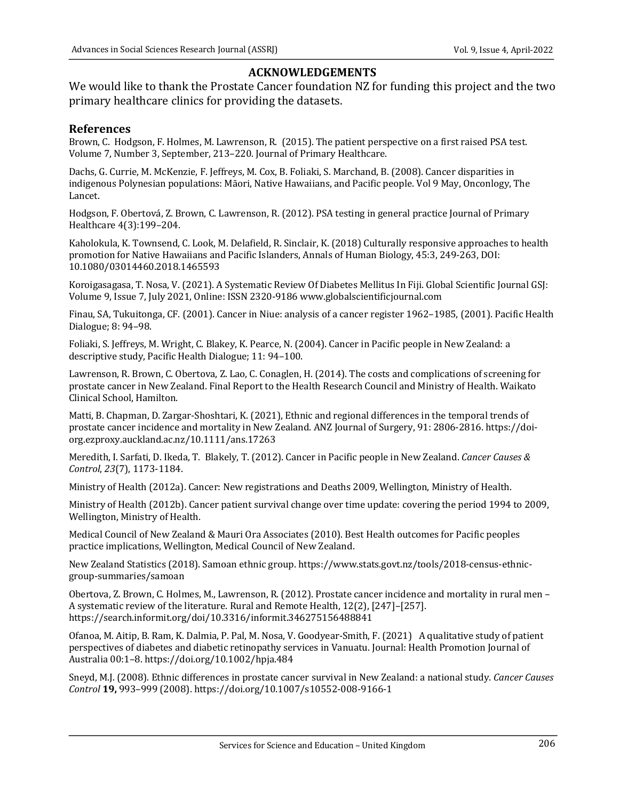# **ACKNOWLEDGEMENTS**

We would like to thank the Prostate Cancer foundation NZ for funding this project and the two primary healthcare clinics for providing the datasets.

#### **References**

Brown, C. Hodgson, F. Holmes, M. Lawrenson, R. (2015). The patient perspective on a first raised PSA test. Volume 7, Number 3, September, 213-220. Journal of Primary Healthcare.

Dachs, G. Currie, M. McKenzie, F. Jeffreys, M. Cox, B. Foliaki, S. Marchand, B. (2008). Cancer disparities in indigenous Polynesian populations: Māori, Native Hawaiians, and Pacific people. Vol 9 May, Onconlogy, The Lancet. 

Hodgson, F. Obertová, Z. Brown, C. Lawrenson, R. (2012). PSA testing in general practice Journal of Primary Healthcare 4(3):199-204.

Kaholokula, K. Townsend, C. Look, M. Delafield, R. Sinclair, K. (2018) Culturally responsive approaches to health promotion for Native Hawaiians and Pacific Islanders, Annals of Human Biology, 45:3, 249-263, DOI: 10.1080/03014460.2018.1465593

Koroigasagasa, T. Nosa, V. (2021). A Systematic Review Of Diabetes Mellitus In Fiji. Global Scientific Journal GSJ: Volume 9, Issue 7, July 2021, Online: ISSN 2320-9186 www.globalscientificjournal.com

Finau, SA, Tukuitonga, CF. (2001). Cancer in Niue: analysis of a cancer register 1962–1985, (2001). Pacific Health Dialogue; 8: 94–98. 

Foliaki, S. Jeffreys, M. Wright, C. Blakey, K. Pearce, N. (2004). Cancer in Pacific people in New Zealand: a descriptive study, Pacific Health Dialogue; 11: 94-100.

Lawrenson, R. Brown, C. Obertova, Z. Lao, C. Conaglen, H. (2014). The costs and complications of screening for prostate cancer in New Zealand. Final Report to the Health Research Council and Ministry of Health. Waikato Clinical School, Hamilton.

Matti, B. Chapman, D. Zargar-Shoshtari, K. (2021), Ethnic and regional differences in the temporal trends of prostate cancer incidence and mortality in New Zealand. ANZ Journal of Surgery, 91: 2806-2816. https://doiorg.ezproxy.auckland.ac.nz/10.1111/ans.17263

Meredith, I. Sarfati, D. Ikeda, T. Blakely, T. (2012). Cancer in Pacific people in New Zealand. *Cancer Causes & Control*, *23*(7), 1173-1184.

Ministry of Health (2012a). Cancer: New registrations and Deaths 2009, Wellington, Ministry of Health.

Ministry of Health (2012b). Cancer patient survival change over time update: covering the period 1994 to 2009, Wellington, Ministry of Health.

Medical Council of New Zealand & Mauri Ora Associates (2010). Best Health outcomes for Pacific peoples practice implications, Wellington, Medical Council of New Zealand.

New Zealand Statistics (2018). Samoan ethnic group. https://www.stats.govt.nz/tools/2018-census-ethnicgroup-summaries/samoan

Obertova, Z. Brown, C. Holmes, M., Lawrenson, R. (2012). Prostate cancer incidence and mortality in rural men -A systematic review of the literature. Rural and Remote Health, 12(2), [247]-[257]. https://search.informit.org/doi/10.3316/informit.346275156488841

Ofanoa, M. Aitip, B. Ram, K. Dalmia, P. Pal, M. Nosa, V. Goodyear-Smith, F. (2021) A qualitative study of patient perspectives of diabetes and diabetic retinopathy services in Vanuatu. Journal: Health Promotion Journal of Australia 00:1–8. https://doi.org/10.1002/hpja.484

Sneyd, M.J. (2008). Ethnic differences in prostate cancer survival in New Zealand: a national study. *Cancer Causes Control* **19,** 993–999 (2008). https://doi.org/10.1007/s10552-008-9166-1